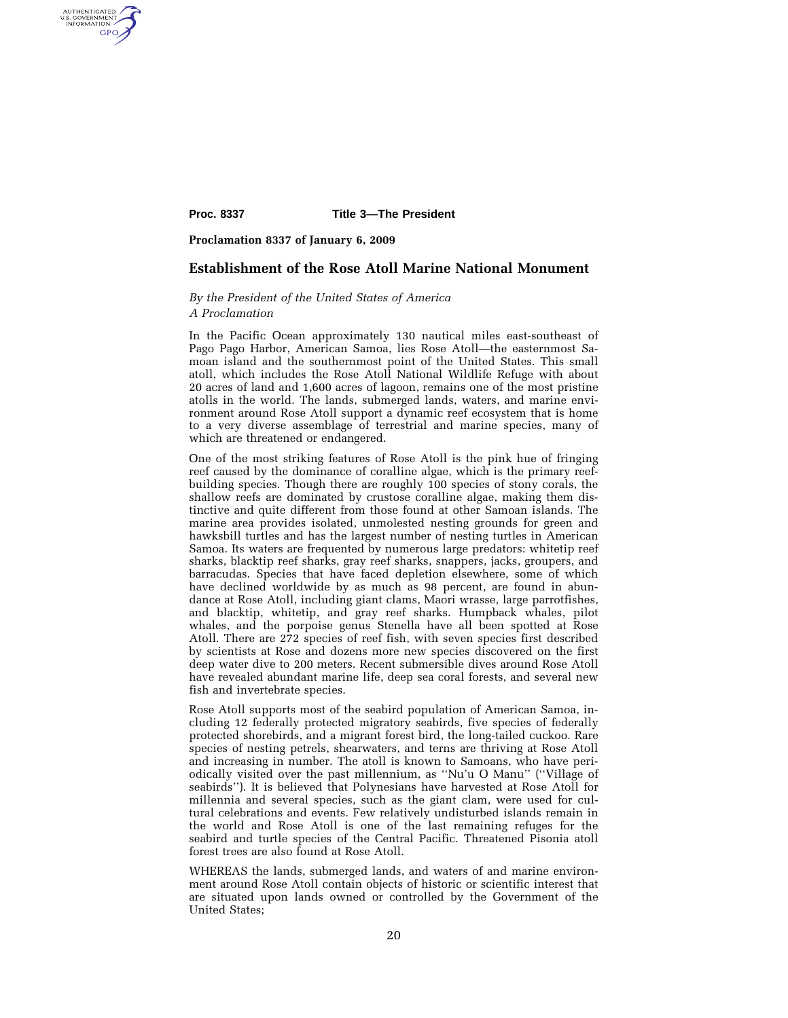AUTHENTICATED<br>U.S. GOVERNMENT<br>INFORMATION GPO

**Proc. 8337 Title 3—The President** 

**Proclamation 8337 of January 6, 2009** 

# **Establishment of the Rose Atoll Marine National Monument**

# *By the President of the United States of America A Proclamation*

In the Pacific Ocean approximately 130 nautical miles east-southeast of Pago Pago Harbor, American Samoa, lies Rose Atoll—the easternmost Samoan island and the southernmost point of the United States. This small atoll, which includes the Rose Atoll National Wildlife Refuge with about 20 acres of land and 1,600 acres of lagoon, remains one of the most pristine atolls in the world. The lands, submerged lands, waters, and marine environment around Rose Atoll support a dynamic reef ecosystem that is home to a very diverse assemblage of terrestrial and marine species, many of which are threatened or endangered.

One of the most striking features of Rose Atoll is the pink hue of fringing reef caused by the dominance of coralline algae, which is the primary reefbuilding species. Though there are roughly 100 species of stony corals, the shallow reefs are dominated by crustose coralline algae, making them distinctive and quite different from those found at other Samoan islands. The marine area provides isolated, unmolested nesting grounds for green and hawksbill turtles and has the largest number of nesting turtles in American Samoa. Its waters are frequented by numerous large predators: whitetip reef sharks, blacktip reef sharks, gray reef sharks, snappers, jacks, groupers, and barracudas. Species that have faced depletion elsewhere, some of which have declined worldwide by as much as 98 percent, are found in abundance at Rose Atoll, including giant clams, Maori wrasse, large parrotfishes, and blacktip, whitetip, and gray reef sharks. Humpback whales, pilot whales, and the porpoise genus Stenella have all been spotted at Rose Atoll. There are 272 species of reef fish, with seven species first described by scientists at Rose and dozens more new species discovered on the first deep water dive to 200 meters. Recent submersible dives around Rose Atoll have revealed abundant marine life, deep sea coral forests, and several new fish and invertebrate species.

Rose Atoll supports most of the seabird population of American Samoa, including 12 federally protected migratory seabirds, five species of federally protected shorebirds, and a migrant forest bird, the long-tailed cuckoo. Rare species of nesting petrels, shearwaters, and terns are thriving at Rose Atoll and increasing in number. The atoll is known to Samoans, who have periodically visited over the past millennium, as ''Nu'u O Manu'' (''Village of seabirds''). It is believed that Polynesians have harvested at Rose Atoll for millennia and several species, such as the giant clam, were used for cultural celebrations and events. Few relatively undisturbed islands remain in the world and Rose Atoll is one of the last remaining refuges for the seabird and turtle species of the Central Pacific. Threatened Pisonia atoll forest trees are also found at Rose Atoll.

WHEREAS the lands, submerged lands, and waters of and marine environment around Rose Atoll contain objects of historic or scientific interest that are situated upon lands owned or controlled by the Government of the United States;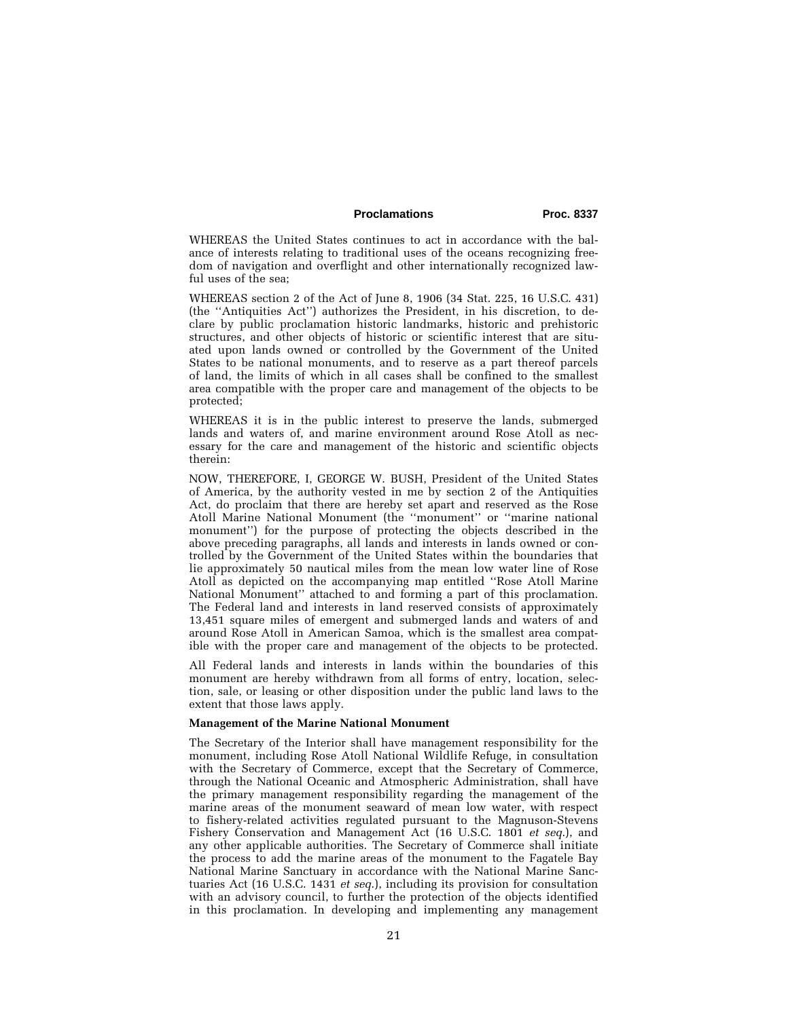# Proclamations Proc. 8337

WHEREAS the United States continues to act in accordance with the balance of interests relating to traditional uses of the oceans recognizing freedom of navigation and overflight and other internationally recognized lawful uses of the sea;

WHEREAS section 2 of the Act of June 8, 1906 (34 Stat. 225, 16 U.S.C. 431) (the ''Antiquities Act'') authorizes the President, in his discretion, to declare by public proclamation historic landmarks, historic and prehistoric structures, and other objects of historic or scientific interest that are situated upon lands owned or controlled by the Government of the United States to be national monuments, and to reserve as a part thereof parcels of land, the limits of which in all cases shall be confined to the smallest area compatible with the proper care and management of the objects to be protected;

WHEREAS it is in the public interest to preserve the lands, submerged lands and waters of, and marine environment around Rose Atoll as necessary for the care and management of the historic and scientific objects therein:

NOW, THEREFORE, I, GEORGE W. BUSH, President of the United States of America, by the authority vested in me by section 2 of the Antiquities Act, do proclaim that there are hereby set apart and reserved as the Rose Atoll Marine National Monument (the ''monument'' or ''marine national monument'') for the purpose of protecting the objects described in the above preceding paragraphs, all lands and interests in lands owned or controlled by the Government of the United States within the boundaries that lie approximately 50 nautical miles from the mean low water line of Rose Atoll as depicted on the accompanying map entitled ''Rose Atoll Marine National Monument'' attached to and forming a part of this proclamation. The Federal land and interests in land reserved consists of approximately 13,451 square miles of emergent and submerged lands and waters of and around Rose Atoll in American Samoa, which is the smallest area compatible with the proper care and management of the objects to be protected.

All Federal lands and interests in lands within the boundaries of this monument are hereby withdrawn from all forms of entry, location, selection, sale, or leasing or other disposition under the public land laws to the extent that those laws apply.

## **Management of the Marine National Monument**

The Secretary of the Interior shall have management responsibility for the monument, including Rose Atoll National Wildlife Refuge, in consultation with the Secretary of Commerce, except that the Secretary of Commerce, through the National Oceanic and Atmospheric Administration, shall have the primary management responsibility regarding the management of the marine areas of the monument seaward of mean low water, with respect to fishery-related activities regulated pursuant to the Magnuson-Stevens Fishery Conservation and Management Act (16 U.S.C. 1801 *et seq*.), and any other applicable authorities. The Secretary of Commerce shall initiate the process to add the marine areas of the monument to the Fagatele Bay National Marine Sanctuary in accordance with the National Marine Sanctuaries Act (16 U.S.C. 1431 *et seq*.), including its provision for consultation with an advisory council, to further the protection of the objects identified in this proclamation. In developing and implementing any management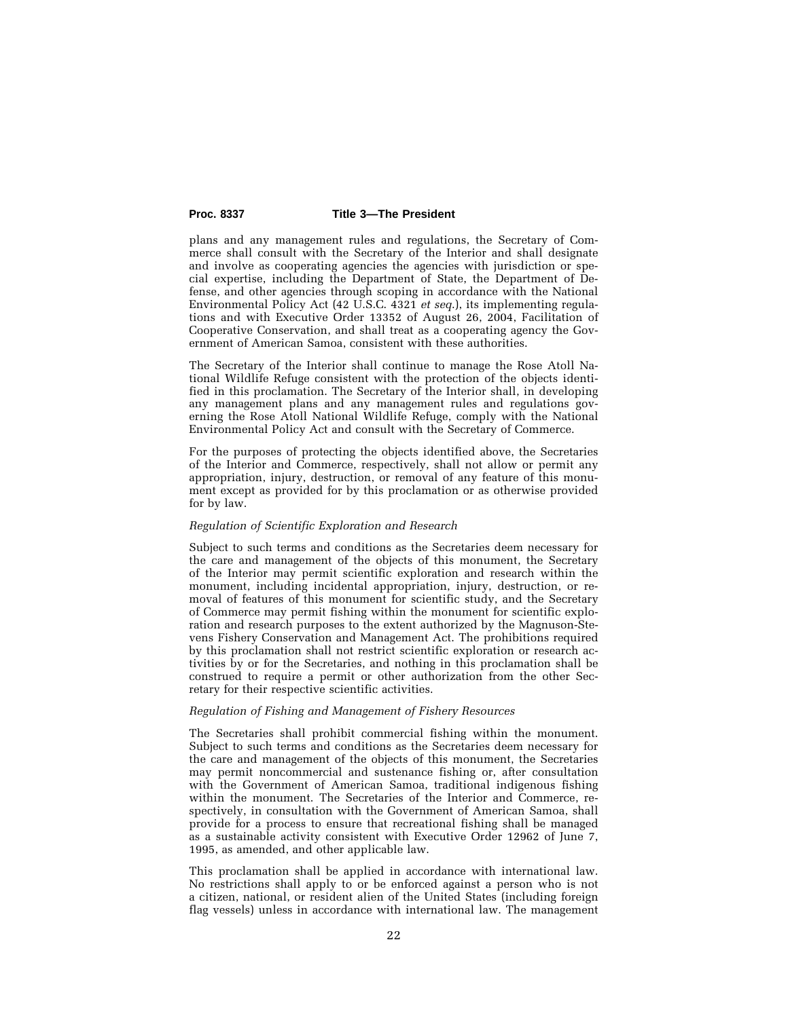### **Proc. 8337 Title 3—The President**

plans and any management rules and regulations, the Secretary of Commerce shall consult with the Secretary of the Interior and shall designate and involve as cooperating agencies the agencies with jurisdiction or special expertise, including the Department of State, the Department of Defense, and other agencies through scoping in accordance with the National Environmental Policy Act (42 U.S.C. 4321 *et seq*.), its implementing regulations and with Executive Order 13352 of August 26, 2004, Facilitation of Cooperative Conservation, and shall treat as a cooperating agency the Government of American Samoa, consistent with these authorities.

The Secretary of the Interior shall continue to manage the Rose Atoll National Wildlife Refuge consistent with the protection of the objects identified in this proclamation. The Secretary of the Interior shall, in developing any management plans and any management rules and regulations governing the Rose Atoll National Wildlife Refuge, comply with the National Environmental Policy Act and consult with the Secretary of Commerce.

For the purposes of protecting the objects identified above, the Secretaries of the Interior and Commerce, respectively, shall not allow or permit any appropriation, injury, destruction, or removal of any feature of this monument except as provided for by this proclamation or as otherwise provided for by law.

### *Regulation of Scientific Exploration and Research*

Subject to such terms and conditions as the Secretaries deem necessary for the care and management of the objects of this monument, the Secretary of the Interior may permit scientific exploration and research within the monument, including incidental appropriation, injury, destruction, or removal of features of this monument for scientific study, and the Secretary of Commerce may permit fishing within the monument for scientific exploration and research purposes to the extent authorized by the Magnuson-Stevens Fishery Conservation and Management Act. The prohibitions required by this proclamation shall not restrict scientific exploration or research activities by or for the Secretaries, and nothing in this proclamation shall be construed to require a permit or other authorization from the other Secretary for their respective scientific activities.

### *Regulation of Fishing and Management of Fishery Resources*

The Secretaries shall prohibit commercial fishing within the monument. Subject to such terms and conditions as the Secretaries deem necessary for the care and management of the objects of this monument, the Secretaries may permit noncommercial and sustenance fishing or, after consultation with the Government of American Samoa, traditional indigenous fishing within the monument. The Secretaries of the Interior and Commerce, respectively, in consultation with the Government of American Samoa, shall provide for a process to ensure that recreational fishing shall be managed as a sustainable activity consistent with Executive Order 12962 of June 7, 1995, as amended, and other applicable law.

This proclamation shall be applied in accordance with international law. No restrictions shall apply to or be enforced against a person who is not a citizen, national, or resident alien of the United States (including foreign flag vessels) unless in accordance with international law. The management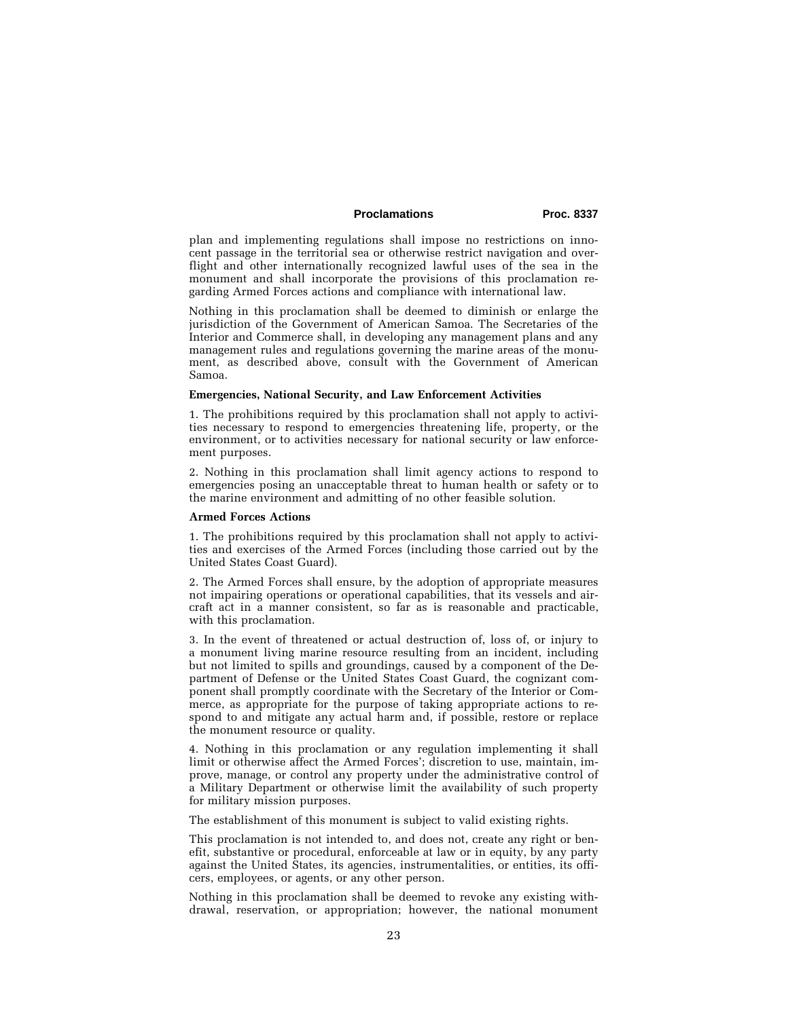# Proclamations Proc. 8337

plan and implementing regulations shall impose no restrictions on innocent passage in the territorial sea or otherwise restrict navigation and overflight and other internationally recognized lawful uses of the sea in the monument and shall incorporate the provisions of this proclamation regarding Armed Forces actions and compliance with international law.

Nothing in this proclamation shall be deemed to diminish or enlarge the jurisdiction of the Government of American Samoa. The Secretaries of the Interior and Commerce shall, in developing any management plans and any management rules and regulations governing the marine areas of the monument, as described above, consult with the Government of American Samoa.

### **Emergencies, National Security, and Law Enforcement Activities**

1. The prohibitions required by this proclamation shall not apply to activities necessary to respond to emergencies threatening life, property, or the environment, or to activities necessary for national security or law enforcement purposes.

2. Nothing in this proclamation shall limit agency actions to respond to emergencies posing an unacceptable threat to human health or safety or to the marine environment and admitting of no other feasible solution.

#### **Armed Forces Actions**

1. The prohibitions required by this proclamation shall not apply to activities and exercises of the Armed Forces (including those carried out by the United States Coast Guard).

2. The Armed Forces shall ensure, by the adoption of appropriate measures not impairing operations or operational capabilities, that its vessels and aircraft act in a manner consistent, so far as is reasonable and practicable, with this proclamation.

3. In the event of threatened or actual destruction of, loss of, or injury to a monument living marine resource resulting from an incident, including but not limited to spills and groundings, caused by a component of the Department of Defense or the United States Coast Guard, the cognizant component shall promptly coordinate with the Secretary of the Interior or Commerce, as appropriate for the purpose of taking appropriate actions to respond to and mitigate any actual harm and, if possible, restore or replace the monument resource or quality.

4. Nothing in this proclamation or any regulation implementing it shall limit or otherwise affect the Armed Forces'; discretion to use, maintain, improve, manage, or control any property under the administrative control of a Military Department or otherwise limit the availability of such property for military mission purposes.

The establishment of this monument is subject to valid existing rights.

This proclamation is not intended to, and does not, create any right or benefit, substantive or procedural, enforceable at law or in equity, by any party against the United States, its agencies, instrumentalities, or entities, its officers, employees, or agents, or any other person.

Nothing in this proclamation shall be deemed to revoke any existing withdrawal, reservation, or appropriation; however, the national monument